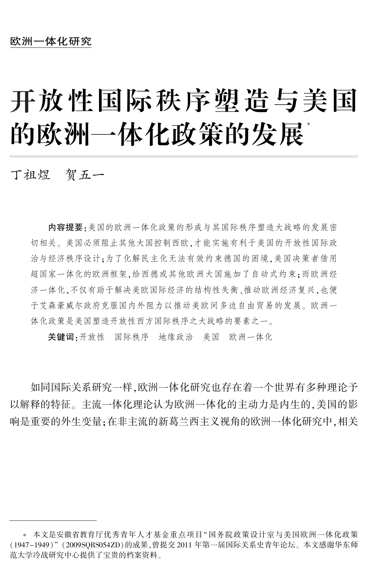# 开放性国际秩序塑造与美国 的欧洲一体化政策的发展\*

丁祖煜 贺五一

内容提要:美国的欧洲一体化政策的形成与其国际秩序塑造大战略的发展密 切相关。 美国必须阻止其他大国控制西欧,才能实施有利于美国的开放性国际政 治与经济秩序设计;为了化解民主化无法有效约束德国的困境,美国决策者借用 超国家一体化的欧洲框架,给西德或其他欧洲大国施加了自动式约束;而欧洲经 济一体化,不仅有助于解决美欧国际经济的结构性失衡、推动欧洲经济复兴,也便 于艾森豪威尔政府克服国内外阻力以推动美欧间多边自由贸易的发展。欧洲一 体化政策是美国塑造开放性西方国际秩序之大战略的要素之一。

关键词:开放性 国际秩序 地缘政治 美国 欧洲一体化

如同国际关系研究一样,欧洲一体化研究也存在着一个世界有多种理论予 以解释的特征。 主流一体化理论认为欧洲一体化的主动力是内生的,美国的影 响是重要的外生变量;在非主流的新葛兰西主义视角的欧洲一体化研究中,相关

<sup>\*</sup> 本文是安徽省教育厅优秀青年人才基金重点项目"国务院政策设计室与美国欧洲一体化政策 (1947-1949)"(2009SQRS054ZD)的成果,曾提交 2011 年第一届国际关系史青年论坛。本文感谢华东师 范大学冷战研究中心提供了宝贵的档案资料。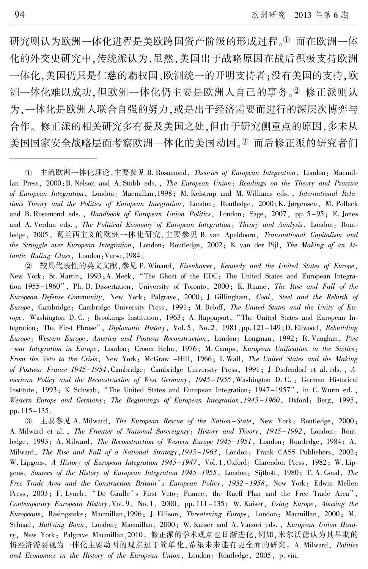研究则认为欧洲一体化进程是美欧跨国资产阶级的形成过程。1而在欧洲一体 化的外交史研究中,传统派认为,虽然,美国出于战略原因在战后积极支持欧洲 一体化,美国仍只是仁慈的霸权国、欧洲统一的开明支持者;没有美国的支持,欧 洲一体化难以成功,但欧洲一体化仍主要是欧洲人自己的事务。2 修正派则认 为,一体化是欧洲人联合自强的努力,或是出于经济需要而进行的深层次博弈与 合作。 修正派的相关研究多有提及美国之处,但由于研究侧重点的原因,多未从 美国国家安全战略层面考察欧洲一体化的美国动因。③ 而后修正派的研究者们

于 较具代表性的英文文献,参见 P. Winand, Eisenhower, Kennedy and the United States of Europe, New York: St. Martin, 1993; A. Meek, "The Ghost of the EDC: The United States and European Integration 1955-1960", Ph. D. Dissertation, University of Toronto, 2000; K. Ruane, The Rise and Fall of the European Defense Community, New York: Palgrave, 2000; J. Gillingham, Coal, Steel and the Rebirth of Europe, Cambridge: Cambridge University Press, 1991; M. Beloff, The United States and the Unity of Europe, Washington D. C. : Brookings Institution, 1963; A. Rappaport, "The United States and European Integration: The First Phrase", Diplomatic History, Vol. 5, No. 2, 1981, pp. 121-149; D. Ellwood, Rebuilding Europe: Western Europe, America and Postwar Reconstruction, London: Longman, 1992; R. Vaughan, Post -war Integration in Europe, London: Croom Helm, 1976; M. Camps, European Unification in the Sixties: From the Veto to the Crisis, New York: McGraw -Hill, 1966; I. Wall, The United States and the Making of Postwar France 1945-1954, Cambridge: Cambridge University Press, 1991; J. Diefendorf et al. eds., American Policy and the Reconstruction of West Germany, 1945–1955, Washington D. C. : German Historical Institute, 1993; K. Schwab, "The United States and European Integration: 1947-1957", in C. Wurm ed., Western Europe and Germany: The Beginnings of European Integration, 1945–1960, Oxford: Berg, 1995, pp. 115-135。

 $(3)$ 主要参见 A. Milward, The European Rescue of the Nation–State, New York: Routledge, 2000; A. Milward et al., The Frontier of National Sovereignty: History and Theory, 1945-1992, London: Routledge, 1993; A. Milward, *The Reconstruction of Western Europe 1945-1951*, London: Routledge, 1984; A. Milward, The Rise and Fall of a National Strategy,1945-1963, London: Frank CASS Publishers, 2002; W. Lipgens, A History of European Integration 1945-1947, Vol. 1, Oxford: Clarendon Press, 1982; W. Lipgens, Sources of the History of European Integration 1945-1955, London: Sijthoff, 1980; T. A. Good, The Free Trade Area and the Construction Britain's European Policy, 1952–1958, New York: Edwin Mellen Press, 2003; F. Lynch, "De Gaulle's First Veto: France, the Rueff Plan and the Free Trade Area", Contemporary European History,Vol. 9, No. 1, 2000, pp. 111-135; W. Kaiser, Using Europe, Abusing the Europeans, Basingstoke: Macmillan,1996; J. Ellison, Threatening Europe, London: Macmillan, 2000; M. Schaad, Bullying Bonn, London: Macmillan, 2000; W. Kaiser and A. Varsori eds., European Union History, New York: Palgrave Macmillan,2010。 修正派的学术观点也日渐进化,例如,米尔沃德认为其早期的 将经济需要视为一体化主要动因的观点过于简单化,希望未来能有更全面的研究。 A. Milward, Politics and Economics in the History of the European Union, London: Routledge, 2005, p. viii.

① 主流欧洲一体化理论,主要参见 B. Rosamond, *Theories of European Integration*, London: Macmillan Press, 2000; B. Nelson and A. Stubb eds., The European Union: Readings on the Theory and Practice of European Integration, London: Macmillan,1998; M. Kelstrup and M. Williams eds., International Relations Theory and the Politics of European Integration, London: Routledge, 2000;K. Jørgensen, M. Pollack and B. Rosamond eds., *Handbook of European Union Politics*, London: Sage, 2007, pp. 5-95; E. Jones and A. Verdun eds., The Political Economy of European Integration: Theory and Analysis, London: Routledge, 2005。 葛兰西主义的欧洲一体化研究,主要参见 B. van Apeldoorn, Transnational Capitalism and the Struggle over European Integration, London: Routledge, 2002; K. van der Pijl, The Making of an Atlantic Ruling Class, London:Verso,1984。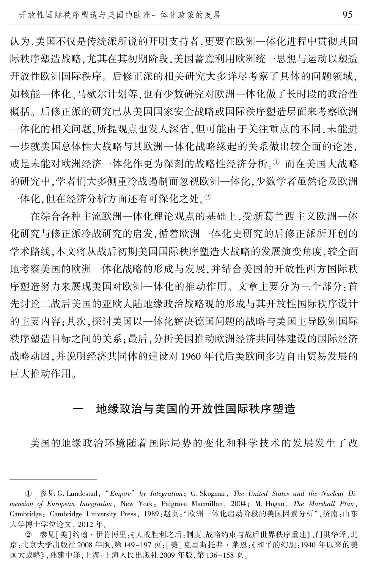认为,美国不仅是传统派所说的开明支持者,更要在欧洲一体化进程中贯彻其国 际秩序塑造战略,尤其在其初期阶段,美国蓄意利用欧洲统一思想与运动以塑造 开放性欧洲国际秩序。 后修正派的相关研究大多详尽考察了具体的问题领域, 如核能一体化、马歇尔计划等,也有少数研究对欧洲一体化做了长时段的政治性 概括。 后修正派的研究已从美国国家安全战略或国际秩序塑造层面来考察欧洲 一体化的相关问题,所提观点也发人深省,但可能由于关注重点的不同,未能进 一步就美国总体性大战略与其欧洲一体化战略缘起的关系做出较全面的论述, 或是未能对欧洲经济一体化作更为深刻的战略性经济分析。1 而在美国大战略 的研究中,学者们大多侧重冷战遏制而忽视欧洲一体化,少数学者虽然论及欧洲 一体化,但在经济分析方面还有可深化之处。<sup>2</sup>

在综合各种主流欧洲一体化理论观点的基础上,受新葛兰西主义欧洲一体 化研究与修正派冷战研究的启发,循着欧洲一体化史研究的后修正派所开创的 学术路线,本文将从战后初期美国国际秩序塑造大战略的发展演变角度,较全面 地考察美国的欧洲一体化战略的形成与发展,并结合美国的开放性西方国际秩 序塑造努力来展现美国对欧洲一体化的推动作用。 文章主要分为三个部分:首 先讨论二战后美国的亚欧大陆地缘政治战略观的形成与其开放性国际秩序设计 的主要内容;其次,探讨美国以一体化解决德国问题的战略与美国主导欧洲国际 秩序塑造目标之间的关系;最后,分析美国推动欧洲经济共同体建设的国际经济 战略动因,并说明经济共同体的建设对 1960 年代后美欧间多边自由贸易发展的 巨大推动作用。

### 一 地缘政治与美国的开放性国际秩序塑造

美国的地缘政治环境随着国际局势的变化和科学技术的发展发生了改

① 参见 G. Lundestad, "Empire" by Integration; G. Skogmar, The United States and the Nuclear Dimension of European Integration, New York: Palgrave Macmillan, 2004; M. Hogan, The Marshall Plan, Cambridge: Cambridge University Press, 1989;赵贞:"欧洲一体化启动阶段的美国因素分析",济南:山东 大学博士学位论文, 2012 年。

② 参见[ 美] 约翰·伊肯博里:《大战胜利之后:制度 、战略约束与战后世界秩序重建》,门洪华译,北 京:北京大学出版社 2008 年版,第 149-197 页;[美]克里斯托弗·莱恩:《和平的幻想:1940 年以来的美 国大战略》,孙建中译,上海:上海人民出版社 2009 年版,第 136-158 页。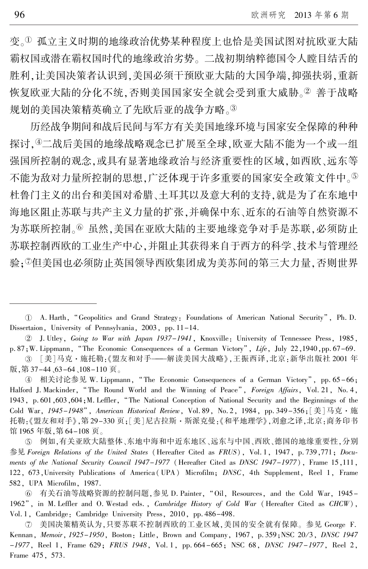变。1 孤立主义时期的地缘政治优势某种程度上也恰是美国试图对抗欧亚大陆 霸权国或潜在霸权国时代的地缘政治劣势。 二战初期纳粹德国令人瞠目结舌的 胜利,让美国决策者认识到,美国必须干预欧亚大陆的大国争端,抑强扶弱,重新 恢复欧亚大陆的分化不统,否则美国国家安全就会受到重大威胁。2 善于战略 规划的美国决策精英确立了先欧后亚的战争方略。3

历经战争期间和战后民间与军方有关美国地缘环境与国家安全保障的种种 探讨,4二战后美国的地缘战略观念已扩展至全球,欧亚大陆不能为一个或一组 强国所控制的观念,或具有显著地缘政治与经济重要性的区域,如西欧、远东等 不能为敌对力量所控制的思想,广泛体现于许多重要的国家安全政策文件中。 杜鲁门主义的出台和美国对希腊、土耳其以及意大利的支持,就是为了在东地中 海地区阻止苏联与共产主义力量的扩张,并确保中东、近东的石油等自然资源不 为苏联所控制。<sup>6</sup> 虽然,美国在亚欧大陆的主要地缘竞争对手是苏联,必须防止 苏联控制西欧的工业生产中心,并阻止其获得来自于西方的科学、技术与管理经 验;<sup>舆</sup>但美国也必须防止英国领导西欧集团成为美苏间的第三大力量,否则世界

于 J. Utley, Going to War with Japan 1937-1941, Knoxville: University of Tennessee Press, 1985, p. 87;W. Lippmann, "The Economic Consequences of a German Victory", Life, July 22, 1940, pp. 67-69.

盂 [美]马克·施托勒:《盟友和对手———解读美国大战略》,王振西译,北京:新华出版社 2001 年 版,第 37-44、63-64、108-110 页。

④ 相关讨论参见 W. Lippmann, "The Economic Consequences of a German Victory", pp. 65–66; Halford J. Mackinder, "The Round World and the Winning of Peace", Foreign Affairs, Vol. 21, No. 4, 1943, p. 601,603,604;M. Leffler, "The National Conception of National Security and the Beginnings of the Cold War, 1945-1948", American Historical Review, Vol. 89, No. 2, 1984, pp. 349-356; [美]马克·施 托勒:《盟友和对手》,第 29-330 页;[美]尼古拉斯·斯派克曼:《和平地理学》,刘愈之译,北京:商务印书 馆 1965 年版,第 64-108 页。

虞 例如,有关亚欧大陆整体、东地中海和中近东地区、远东与中国、西欧、德国的地缘重要性,分别 参见 Foreign Relations of the United States (Hereafter Cited as FRUS), Vol. 1, 1947, p. 739,771; Documents of the National Security Council 1947-1977 (Hereafter Cited as DNSC 1947-1977), Frame 15,111, 122, 673,University Publications of America( UPA) Microfilm; DNSC, 4th Supplement, Reel 1, Frame 582, UPA Microfilm, 1987.

愚 有关石油等战略资源的控制问题,参见 D. Painter, "Oil, Resources, and the Cold War, 1945- 1962", in M. Leffler and O. Westad eds., Cambridge History of Cold War (Hereafter Cited as CHCW), Vol. 1, Cambridge: Cambridge University Press, 2010, pp. 486-498.

舆 美国决策精英认为,只要苏联不控制西欧的工业区域,美国的安全就有保障。 参见 George F. Kennan, Memoir, 1925-1950, Boston: Little, Brown and Company, 1967, p.359;NSC 20/3, DNSC 1947 -1977, Reel 1, Frame 629; FRUS 1948, Vol. 1, pp. 664 -665; NSC 68, DNSC 1947 -1977, Reel 2, Frame 475, 573.

U A. Harth, "Geopolitics and Grand Strategy: Foundations of American National Security", Ph. D. Dissertaion, University of Pennsylvania, 2003, pp. 11-14.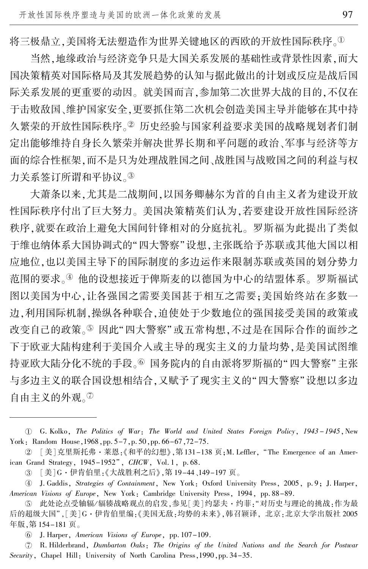将三极鼎立,美国将无法塑造作为世界关键地区的西欧的开放性国际秩序。1

当然,地缘政治与经济竞争只是大国关系发展的基础性或背景性因素,而大 国决策精英对国际格局及其发展趋势的认知与据此做出的计划或反应是战后国 际关系发展的更重要的动因。 就美国而言,参加第二次世界大战的目的,不仅在 于击败敌国、维护国家安全,更要抓住第二次机会创造美国主导并能够在其中持 久繁荣的开放性国际秩序。2 历史经验与国家利益要求美国的战略规划者们制 定出能够维持自身长久繁荣并解决世界长期和平问题的政治、军事与经济等方 面的综合性框架,而不是只为处理战胜国之间、战胜国与战败国之间的利益与权 力关系签订所谓和平协议。③

大萧条以来,尤其是二战期间,以国务卿赫尔为首的自由主义者为建设开放 性国际秩序付出了巨大努力。 美国决策精英们认为,若要建设开放性国际经济 秩序,就要在政治上避免大国间针锋相对的分庭抗礼。 罗斯福为此提出了类似 于维也纳体系大国协调式的"四大警察"设想,主张既给予苏联或其他大国以相 应地位,也以美国主导下的国际制度的多边运作来限制苏联或英国的划分势力 范围的要求。④ 他的设想接近于俾斯麦的以德国为中心的结盟体系。 罗斯福试 图以美国为中心,让各强国之需要美国甚于相互之需要;美国始终站在多数一 边,利用国际机制,操纵各种联合,迫使处于少数地位的强国接受美国的政策或 改变自己的政策。5 因此"四大警察"或五常构想,不过是在国际合作的面纱之 下于欧亚大陆构建利于美国介入或主导的现实主义的力量均势,是美国试图维 持亚欧大陆分化不统的手段。6 国务院内的自由派将罗斯福的"四大警察"主张 与多边主义的联合国设想相结合,又赋予了现实主义的"四大警察"设想以多边 **自由主义的外观。**<sup>⑦</sup>

盂 [美]G·伊肯伯里:《大战胜利之后》,第 19-44、149-197 页。

榆 J. Gaddis, Strategies of Containment, New York: Oxford University Press, 2005, p. 9; J. Harper, American Visions of Europe, New York: Cambridge University Press, 1994, pp. 88-89.

虞 此处论点受轴辐/ 辐辏战略观点的启发,参见[美]约瑟夫·约菲:"对历史与理论的挑战:作为最 后的超级大国",[美]G·伊肯伯里编:《美国无敌:均势的未来》,韩召颖译, 北京:北京大学出版社 2005 年版,第 154-181 页。

愚 J. Harper, American Visions of Europe, pp. 107-109.

舆 R. Hilderbrand, Dumbarton Oaks: The Origins of the United Nations and the Search for Postwar Security, Chapel Hill: University of North Carolina Press, 1990, pp. 34-35.

淤 G. Kolko, The Politics of War: The World and United States Foreign Policy, 1943 -1945,New York: Random House, 1968, pp. 5-7, p. 50, pp. 66-67, 72-75.

② [美]克里斯托弗·莱恩<sub>:</sub>《和平的幻想》,第131–138 页;M. Leffler, "The Emergence of an American Grand Strategy, 1945-1952", CHCW, Vol. 1, p. 68.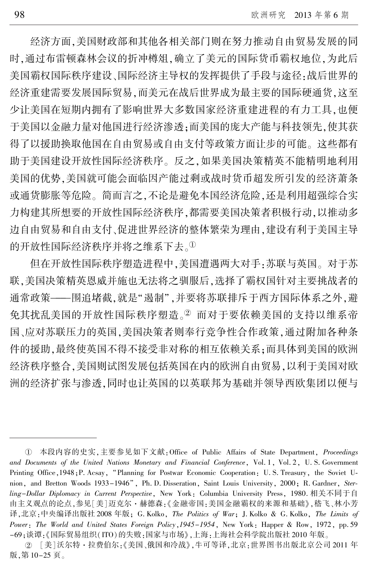经济方面,美国财政部和其他各相关部门则在努力推动自由贸易发展的同 时,通过布雷顿森林会议的折冲樽俎,确立了美元的国际货币霸权地位,为此后 美国霸权国际秩序建设、国际经济主导权的发挥提供了手段与途径:战后世界的 经济重建需要发展国际贸易,而美元在战后世界成为最主要的国际硬通货,这至 少让美国在短期内拥有了影响世界大多数国家经济重建进程的有力工具,也便 于美国以金融力量对他国进行经济渗透;而美国的庞大产能与科技领先,使其获 得了以援助换取他国在自由贸易或自由支付等政策方面让步的可能。 这些都有 助于美国建设开放性国际经济秩序。 反之,如果美国决策精英不能精明地利用 美国的优势,美国就可能会面临因产能过剩或战时货币超发所引发的经济萧条 或通货膨胀等危险。 简而言之,不论是避免本国经济危险,还是利用超强综合实 力构建其所想要的开放性国际经济秩序,都需要美国决策者积极行动,以推动多 边自由贸易和自由支付、促进世界经济的整体繁荣为理由,建设有利于美国主导 的开放性国际经济秩序并将之维系下去。1

但在开放性国际秩序塑造进程中,美国遭遇两大对手:苏联与英国。 对于苏 联,美国决策精英恩威并施也无法将之驯服后,选择了霸权国针对主要挑战者的 通常政策——围追堵截,就是"遏制",并要将苏联排斥于西方国际体系之外,避 免其扰乱美国的开放性国际秩序塑造。2 而对于要依赖美国的支持以维系帝 国、应对苏联压力的英国,美国决策者则奉行竞争性合作政策,通过附加各种条 件的援助,最终使英国不得不接受非对称的相互依赖关系;而具体到美国的欧洲 经济秩序整合,美国则试图发展包括英国在内的欧洲自由贸易,以利于美国对欧 洲的经济扩张与渗透,同时也让英国的以英联邦为基础并领导西欧集团以便与

① 本段内容的史实,主要参见如下文献:Office of Public Affairs of State Department, *Proceedings* and Documents of the United Nations Monetary and Financial Conference, Vol. 1, Vol. 2, U. S. Government Printing Office, 1948; P. Acsay, "Planning for Postwar Economic Cooperation: U.S. Treasury, the Soviet Union, and Bretton Woods 1933-1946", Ph. D. Disseration, Saint Louis University, 2000; R. Gardner, Sterling-Dollar Diplomacy in Current Perspective, New York: Columbia University Press, 1980. 相关不同于自 由主义观点的论点,参见[美]迈克尔·赫德森:《金融帝国:美国金融霸权的来源和基础》,嵇飞、林小芳 译,北京:中央编译出版社 2008 年版; G. Kolko, The Politics of War; J. Kolko & G. Kolko, The Limits of Power: The World and United States Foreign Policy, 1945-1954, New York: Happer & Row, 1972, pp. 59 -69;谈谭:《国际贸易组织(ITO)的失败:国家与市场》,上海:上海社会科学院出版社 2010 年版。

② [美]沃尔特·拉费伯尔:《美国、俄国和冷战》,牛可等译,北京.世界图书出版北京公司 2011 年 版,第 10-25 页。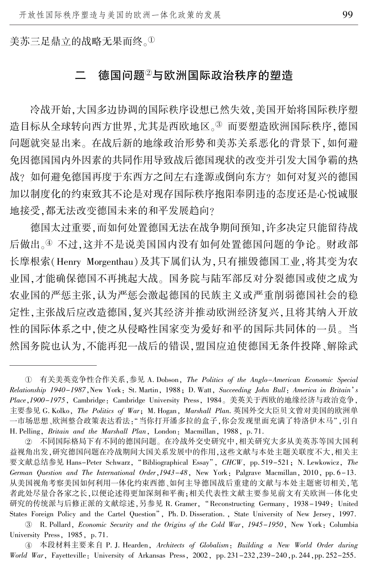美苏三足鼎立的战略无果而终。

### 德国问题<sup>2</sup>与欧洲国际政治秩序的塑造

冷战开始,大国多边协调的国际秩序设想已然失效,美国开始将国际秩序塑 造目标从全球转向西方世界,尤其是西欧地区。3 而要塑造欧洲国际秩序,德国 问题就突显出来。 在战后新的地缘政治形势和美苏关系恶化的背景下,如何避 免因德国国内外因素的共同作用导致战后德国现状的改变并引发大国争霸的热 战? 如何避免德国再度于东西方之间左右逢源或倒向东方? 如何对复兴的德国 加以制度化的约束致其不论是对现存国际秩序抱阳奉阴违的态度还是心悦诚服 地接受,都无法改变德国未来的和平发展趋向?

德国太过重要,而如何处置德国无法在战争期间预知,许多决定只能留待战 后做出。<sup>榆</sup> 不过,这并不是说美国国内没有如何处置德国问题的争论。 财政部 长摩根索(Henry Morgenthau)及其下属们认为,只有摧毁德国工业,将其变为农 业国,才能确保德国不再挑起大战。 国务院与陆军部反对分裂德国或使之成为 农业国的严惩主张,认为严惩会激起德国的民族主义或严重削弱德国社会的稳 定性,主张战后应改造德国,复兴其经济并推动欧洲经济复兴,且将其纳入开放 性的国际体系之中,使之从侵略性国家变为爱好和平的国际共同体的一员。 当 然国务院也认为,不能再犯一战后的错误,盟国应迫使德国无条件投降、解除武

盂 R. Pollard, Economic Security and the Origins of the Cold War, 1945-1950, New York: Columbia University Press, 1985, p. 71.

① 有关美英竞争性合作关系,参见 A. Dobson, *The Politics of the Anglo-American Economic Special* Relationship 1940-1987, New York: St. Martin, 1988; D. Watt, Succeeding John Bull: America in Britain's Place,1900-1975, Cambridge: Cambridge University Press, 1984。 美英关于西欧的地缘经济与政治竞争, 主要参见 G. Kolko, The Politics of War; M. Hogan, Marshall Plan. 英国外交大臣贝文曾对美国的欧洲单 一市场思想、欧洲整合政策表达看法:"当你打开潘多拉的盒子,你会发现里面充满了特洛伊木马",引自 H. Pelling, Britain and the Marshall Plan, London: Macmillan, 1988, p. 71.

于 不同国际格局下有不同的德国问题。 在冷战外交史研究中,相关研究大多从美英苏等国大国利 益视角出发,研究德国问题在冷战期间大国关系发展中的作用,这些文献与本处主题关联度不大,相关主 要文献总结参见 Hans-Peter Schwarz, "Bibliographical Essay", CHCW, pp. 519-521; N. Lewkowicz, The German Question and The International Order,1943-48, New York: Palgrave Macmillan, 2010, pp. 6-13. 从美国视角考察美国如何利用一体化约束西德、如何主导德国战后重建的文献与本处主题密切相关,笔 者此处尽量合各家之长,以便论述得更加深刻和平衡;相关代表性文献主要参见前文有关欧洲一体化史 研究的传统派与后修正派的文献综述,另参见 R. Gramer, "Reconstructing Germany, 1938-1949: United States Foreign Policy and the Cartel Question<sup>7</sup>, Ph. D. Disseration., State University of New Jersey, 1997.

④ 本段材料主要来自 P. J. Hearden, Architects of Globalism: Building a New World Order during World War, Fayetteville: University of Arkansas Press, 2002, pp. 231-232,239-240,p. 244,pp. 252-255.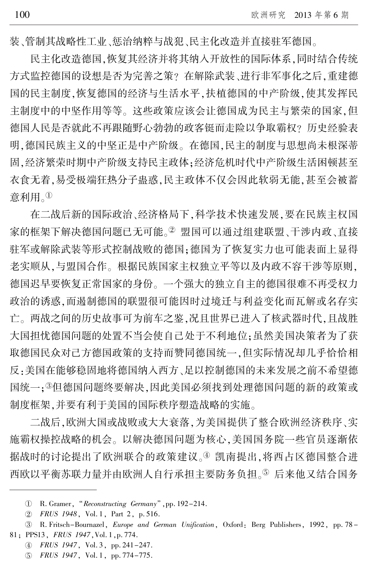装、管制其战略性工业、惩治纳粹与战犯、民主化改造并直接驻军德国。

民主化改造德国,恢复其经济并将其纳入开放性的国际体系,同时结合传统 方式监控德国的设想是否为完善之策? 在解除武装、进行非军事化之后,重建德 国的民主制度,恢复德国的经济与生活水平,扶植德国的中产阶级,使其发挥民 主制度中的中坚作用等等。 这些政策应该会让德国成为民主与繁荣的国家,但 德国人民是否就此不再跟随野心勃勃的政客铤而走险以争取霸权? 历史经验表 明,德国民族主义的中坚正是中产阶级。 在德国,民主的制度与思想尚未根深蒂 固,经济繁荣时期中产阶级支持民主政体;经济危机时代中产阶级生活困顿甚至 衣食无着,易受极端狂热分子蛊惑,民主政体不仅会因此软弱无能,甚至会被蓄 意利用。①

在二战后新的国际政治、经济格局下,科学技术快速发展,要在民族主权国 家的框架下解决德国问题已无可能。2盟国可以通过组建联盟、干涉内政、直接 驻军或解除武装等形式控制战败的德国;德国为了恢复实力也可能表面上显得 老实顺从,与盟国合作。 根据民族国家主权独立平等以及内政不容干涉等原则, 德国迟早要恢复正常国家的身份。 一个强大的独立自主的德国很难不再受权力 政治的诱惑,而遏制德国的联盟很可能因时过境迁与利益变化而瓦解或名存实 亡。 两战之间的历史故事可为前车之鉴,况且世界已进入了核武器时代,且战胜 大国担忧德国问题的处置不当会使自己处于不利地位;虽然美国决策者为了获 取德国民众对己方德国政策的支持而赞同德国统一,但实际情况却几乎恰恰相 反:美国在能够稳固地将德国纳入西方、足以控制德国的未来发展之前不希望德 国统一; 。但德国问题终要解决, 因此美国必须找到处理德国问题的新的政策或 制度框架,并要有利于美国的国际秩序塑造战略的实施。

二战后,欧洲大国或战败或大大衰落,为美国提供了整合欧洲经济秩序、实 施霸权操控战略的机会。 以解决德国问题为核心,美国国务院一些官员逐渐依 据战时的讨论提出了欧洲联合的政策建议。4 凯南提出,将西占区德国整合进 西欧以平衡苏联力量并由欧洲人自行承担主要防务负担。<sup>虞</sup> 后来他又结合国务

<sup>1</sup> R. Gramer, "Reconstructing Germany", pp. 192-214.

于 FRUS 1948, Vol. 1, Part 2, p. 516.

盂 R. Fritsch-Bournazel, Europe and German Unification, Oxford: Berg Publishers, 1992, pp. 78 - 81; PPS13, FRUS 1947,Vol. 1,p. 774.

榆 FRUS 1947, Vol. 3, pp. 241-247.

虞 FRUS 1947, Vol. 1, pp. 774-775.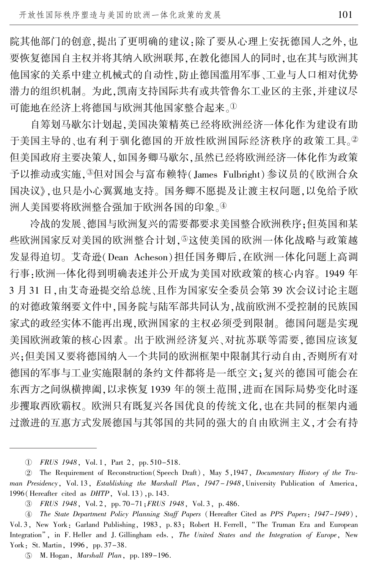院其他部门的创意,提出了更明确的建议:除了要从心理上安抚德国人之外,也 要恢复德国自主权并将其纳入欧洲联邦,在教化德国人的同时,也在其与欧洲其 他国家的关系中建立机械式的自动性,防止德国滥用军事、工业与人口相对优势 潜力的组织机制。 为此,凯南支持国际共有或共管鲁尔工业区的主张,并建议尽 可能地在经济上将德国与欧洲其他国家整合起来。1

自筹划马歇尔计划起,美国决策精英已经将欧洲经济一体化作为建设有助 干美国主导的、也有利于驯化德国的开放性欧洲国际经济秩序的政策工具。2 但美国政府主要决策人,如国务卿马歇尔,虽然已经将欧洲经济一体化作为政策 予以推动或实施,  $\sqrt[3]{2}$ 但对国会与富布赖特(James Fulbright) 参议员的《欧洲合众 国决议》,也只是小心翼翼地支持。 国务卿不愿提及让渡主权问题,以免给予欧 洲人美国要将欧洲整合强加于欧洲各国的印象。④

冷战的发展、德国与欧洲复兴的需要都要求美国整合欧洲秩序;但英国和某 些欧洲国家反对美国的欧洲影合计划,5这使美国的欧洲一体化战略与政策越 发显得迫切。 艾奇逊(Dean Acheson)担任国务卿后,在欧洲一体化问题上高调 行事:欧洲一体化得到明确表述并公开成为美国对欧政策的核心内容。 1949 年 3 月 31 日,由艾奇逊提交给总统、且作为国家安全委员会第 39 次会议讨论主题 的对德政策纲要文件中,国务院与陆军部共同认为,战前欧洲不受控制的民族国 家式的政经实体不能再出现,欧洲国家的主权必须受到限制。 德国问题是实现 美国欧洲政策的核心因素。 出于欧洲经济复兴、对抗苏联等需要,德国应该复 兴;但美国又要将德国纳入一个共同的欧洲框架中限制其行动自由,否则所有对 德国的军事与工业实施限制的条约文件都将是一纸空文;复兴的德国可能会在 东西方之间纵横捭阖,以求恢复 1939 年的领土范围,进而在国际局势变化时逐 步攫取西欧霸权。 欧洲只有既复兴各国优良的传统文化,也在共同的框架内通 过激进的互惠方式发展德国与其邻国的共同的强大的自由欧洲主义,才会有持

淤 FRUS 1948, Vol. 1, Part 2, pp. 510-518.

<sup>2</sup> The Requirement of Reconstruction(Speech Draft), May 5,1947, Documentary History of the Truman Presidency, Vol. 13, Establishing the Marshall Plan, 1947-1948, University Publication of America, 1996(Hereafter cited as DHTP, Vol. 13),p. 143.

盂 FRUS 1948, Vol. 2, pp. 70-71;FRUS 1948, Vol. 3, p. 486.

榆 The State Department Policy Planning Staff Papers (Hereafter Cited as PPS Papers: 1947-1949), Vol. 3, New York: Garland Publishing, 1983, p. 83; Robert H. Ferrell, "The Truman Era and European Integration", in F. Heller and J. Gillingham eds., The United States and the Integration of Europe, New York: St. Martin, 1996, pp. 37-38.

虞 M. Hogan, Marshall Plan, pp. 189-196.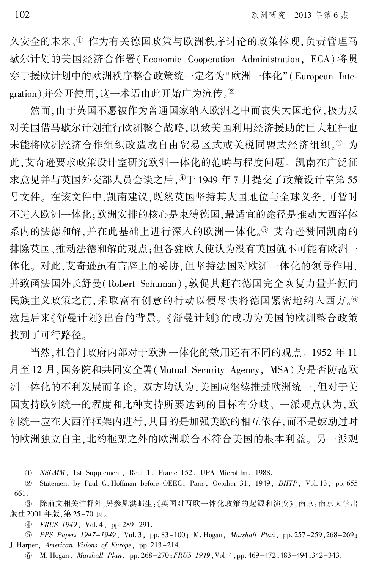久安全的未来。1 作为有关德国政策与欧洲秩序讨论的政策体现,负责管理马 歇尔计划的美国经济合作署(Economic Cooperation Administration, ECA)将贯 穿于援欧计划中的欧洲秩序整合政策统一定名为"欧洲一体化"(European Integration)并公开使用,这一术语由此开始广为流传。2

然而,由于英国不愿被作为普通国家纳入欧洲之中而丧失大国地位,极力反 对美国借马歇尔计划推行欧洲整合战略,以致美国利用经济援助的巨大杠杆也 未能将欧洲经济合作组织改造成自由贸易区式或关税同盟式经济组织。3 为 此,艾奇逊要求政策设计室研究欧洲一体化的范畴与程度问题。 凯南在广泛征 求意见并与英国外交部人员会谈之后,<sup>榆</sup>于 1949 年 7 月提交了政策设计室第 55 号文件。 在该文件中,凯南建议,既然英国坚持其大国地位与全球义务,可暂时 不进入欧洲一体化;欧洲安排的核心是束缚德国,最适宜的途径是推动大西洋体 系内的法德和解,并在此基础上进行深入的欧洲一体化。5 艾奇逊赞同凯南的 排除英国、推动法德和解的观点;但各驻欧大使认为没有英国就不可能有欧洲一 体化。 对此,艾奇逊虽有言辞上的妥协,但坚持法国对欧洲一体化的领导作用, 并致函法国外长舒曼(Robert Schuman),敦促其赶在德国完全恢复力量并倾向 民族主义政策之前,采取富有创意的行动以便尽快将德国紧密地纳入西方。 这是后来《舒曼计划》出台的背景。 《舒曼计划》的成功为美国的欧洲整合政策 找到了可行路径。

当然,杜鲁门政府内部对于欧洲一体化的效用还有不同的观点。 1952 年 11 月至 12 月,国务院和共同安全署(Mutual Security Agency, MSA)为是否防范欧 洲一体化的不利发展而争论。 双方均认为,美国应继续推进欧洲统一,但对于美 国支持欧洲统一的程度和此种支持所要达到的目标有分歧。 一派观点认为,欧 洲统一应在大西洋框架内进行,其目的是加强美欧的相互依存,而不是鼓励过时 的欧洲独立自主,北约框架之外的欧洲联合不符合美国的根本利益。 另一派观

淤 NSCMM, 1st Supplement, Reel 1, Frame 152, UPA Microfilm, 1988.

 $(2)$ Statement by Paul G. Hoffman before OEEC, Paris, October 31, 1949, DHTP, Vol. 13, pp. 655 -661.

③ 除前文相关注释外,另参见洪邮生:《英国对西欧一体化政策的起源和演变》,南京:南京大学出 版社 2001 年版,第 25-70 页。

榆 FRUS 1949, Vol. 4, pp. 289-291.

虞 PPS Papers 1947-1949, Vol. 3, pp. 83-100; M. Hogan, Marshall Plan, pp. 257-259,268-269; J. Harper, American Visions of Europe, pp. 213-214.

愚 M. Hogan, Marshall Plan, pp. 268-270;FRUS 1949,Vol. 4,pp. 469-472,483-494,342-343.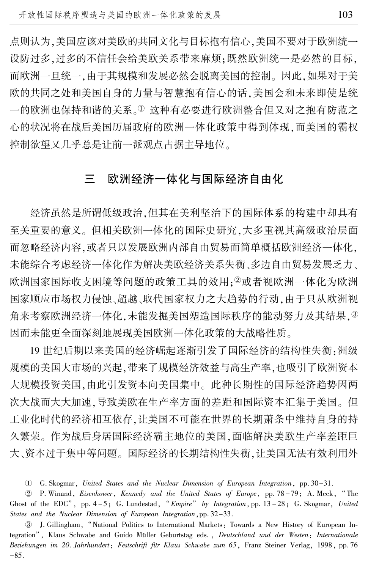点则认为,美国应该对美欧的共同文化与目标抱有信心,美国不要对于欧洲统一 设防过多,过多的不信任会给美欧关系带来麻烦;既然欧洲统一是必然的目标, 而欧洲一旦统一,由于其规模和发展必然会脱离美国的控制。 因此,如果对于美 欧的共同之处和美国自身的力量与智慧抱有信心的话,美国会和未来即使是统 一的欧洲也保持和谐的关系。1 这种有必要进行欧洲整合但又对之抱有防范之 心的状况将在战后美国历届政府的欧洲一体化政策中得到体现,而美国的霸权 控制欲望又几乎总是让前一派观点占据主导地位。

## 三 欧洲经济一体化与国际经济自由化

经济虽然是所谓低级政治,但其在美利坚治下的国际体系的构建中却具有 至关重要的意义。 但相关欧洲一体化的国际史研究,大多重视其高级政治层面 而忽略经济内容,或者只以发展欧洲内部自由贸易而简单概括欧洲经济一体化, 未能综合考虑经济一体化作为解决美欧经济关系失衡、多边自由贸易发展乏力、 欧洲国家国际收支困境等问题的政策工具的效用;2或者视欧洲一体化为欧洲 国家顺应市场权力侵蚀、超越、取代国家权力之大趋势的行动,由于只从欧洲视 角来考察欧洲经济一体化,未能发掘美国塑造国际秩序的能动努力及其结果,3 因而未能更全面深刻地展现美国欧洲一体化政策的大战略性质。

19 世纪后期以来美国的经济崛起逐渐引发了国际经济的结构性失衡:洲级 规模的美国大市场的兴起,带来了规模经济效益与高生产率,也吸引了欧洲资本 大规模投资美国,由此引发资本向美国集中。 此种长期性的国际经济趋势因两 次大战而大大加速,导致美欧在生产率方面的差距和国际资本汇集于美国。 但 工业化时代的经济相互依存,让美国不可能在世界的长期萧条中维持自身的持 久繁荣。 作为战后身居国际经济霸主地位的美国,面临解决美欧生产率差距巨 大、资本过于集中等问题。 国际经济的长期结构性失衡,让美国无法有效利用外

淤 G. Skogmar, United States and the Nuclear Dimension of European Integration, pp. 30-31.

于 P. Winand, Eisenhower, Kennedy and the United States of Europe, pp. 78 -79; A. Meek, " The Ghost of the EDC", pp.  $4-5$ ; G. Lundestad, "Empire" by Integration, pp.  $13-28$ ; G. Skogmar, United States and the Nuclear Dimension of European Integration, pp. 32-33.

<sup>3</sup> J. Gillingham, "National Politics to International Markets: Towards a New History of European Integration", Klaus Schwabe and Guido Müller Geburtstag eds., Deutschland und der Westen: Internationale Beziehungen im 20. Jahrhundert: Festschrift für Klaus Schwabe zum 65, Franz Steiner Verlag, 1998, pp. 76  $-85.$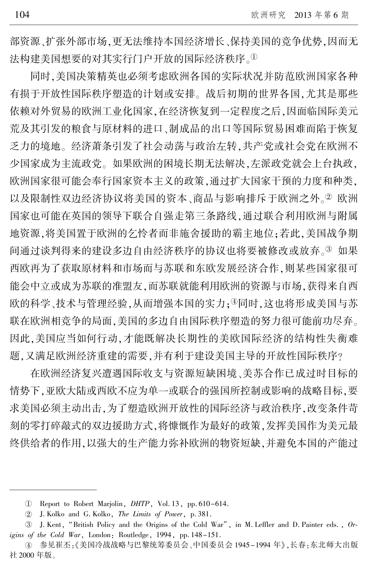部资源、扩张外部市场,更无法维持本国经济增长、保持美国的竞争优势,因而无 法构建美国想要的对其实行门户开放的国际经济秩序。

同时,美国决策精英也必须考虑欧洲各国的实际状况并防范欧洲国家各种 有损于开放性国际秩序塑造的计划或安排。 战后初期的世界各国,尤其是那些 依赖对外贸易的欧洲工业化国家,在经济恢复到一定程度之后,因面临国际美元 荒及其引发的粮食与原材料的进口、制成品的出口等国际贸易困难而陷于恢复 乏力的境地。 经济萧条引发了社会动荡与政治左转,共产党或社会党在欧洲不 少国家成为主流政党。 如果欧洲的困境长期无法解决,左派政党就会上台执政, 欧洲国家很可能会奉行国家资本主义的政策,通过扩大国家干预的力度和种类, 以及限制性双边经济协议将美国的资本、商品与影响排斥于欧洲之外。2欧洲 国家也可能在英国的领导下联合自强走第三条路线,通过联合利用欧洲与附属 地资源,将美国置于欧洲的乞怜者而非施舍援助的霸主地位;若此,美国战争期 间通过谈判得来的建设多边自由经济秩序的协议也将要被修改或放弃。3 如果 西欧再为了获取原材料和市场而与苏联和东欧发展经济合作,则某些国家很可 能会中立或成为苏联的准盟友,而苏联就能利用欧洲的资源与市场,获得来自西 欧的科学、技术与管理经验,从而增强本国的实力;4同时,这也将形成美国与苏 联在欧洲相竞争的局面,美国的多边自由国际秩序塑造的努力很可能前功尽弃。 因此,美国应当如何行动,才能既解决长期性的美欧国际经济的结构性失衡难 题,又满足欧洲经济重建的需要,并有利于建设美国主导的开放性国际秩序?

在欧洲经济复兴遭遇国际收支与资源短缺困境、美苏合作已成过时目标的 情势下,亚欧大陆或西欧不应为单一或联合的强国所控制或影响的战略目标,要 求美国必须主动出击,为了塑造欧洲开放性的国际经济与政治秩序,改变条件苛 刻的零打碎敲式的双边援助方式,将慷慨作为最好的政策,发挥美国作为美元最 终供给者的作用,以强大的生产能力弥补欧洲的物资短缺,并避免本国的产能过

淤 Report to Robert Marjolin, DHTP, Vol. 13, pp. 610-614.

于 J. Kolko and G. Kolko, The Limits of Power, p. 381.

盂 J. Kent, "British Policy and the Origins of the Cold War", in M. Leffler and D. Painter eds., Origins of the Cold War, London: Routledge, 1994, pp. 148-151.

榆 参见崔丕:《美国冷战战略与巴黎统筹委员会、中国委员会 1945-1994 年》,长春:东北师大出版 社 2000 年版。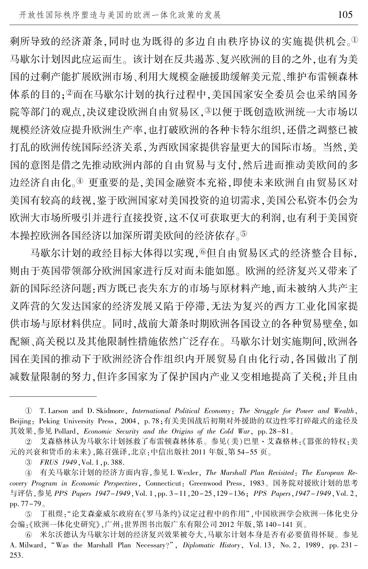剩所导致的经济萧条,同时也为既得的多边自由秩序协议的实施提供机会。1 马歇尔计划因此应运而生。 该计划在反共遏苏、复兴欧洲的目的之外,也有为美 国的过剩产能扩展欧洲市场、利用大规模金融援助缓解美元荒、维护布雷顿森林 体系的目的;2而在马歇尔计划的执行过程中,美国国家安全委员会也采纳国务 院等部门的观点,决议建设欧洲自由贸易区, ③以便于既创造欧洲统一大市场以 规模经济效应提升欧洲生产率,也打破欧洲的各种卡特尔组织,还借之调整已被 打乱的欧洲传统国际经济关系,为西欧国家提供容量更大的国际市场。 当然,美 国的意图是借之先推动欧洲内部的自由贸易与支付,然后进而推动美欧间的多 边经济自由化。4 更重要的是,美国金融资本充裕,即使未来欧洲自由贸易区对 美国有较高的歧视,鉴于欧洲国家对美国投资的迫切需求,美国公私资本仍会为 欧洲大市场所吸引并进行直接投资,这不仅可获取更大的利润,也有利于美国资 本操控欧洲各国经济以加深所谓美欧间的经济依存。⑤

马歇尔计划的政经目标大体得以实现,®但自由贸易区式的经济整合目标, 则由于英国带领部分欧洲国家进行反对而未能如愿。 欧洲的经济复兴又带来了 新的国际经济问题:西方既已丧失东方的市场与原材料产地,而未被纳入共产主 义阵营的欠发达国家的经济发展又陷于停滞,无法为复兴的西方工业化国家提 供市场与原材料供应。 同时,战前大萧条时期欧洲各国设立的各种贸易壁垒,如 配额、高关税以及其他限制性措施依然广泛存在。 马歇尔计划实施期间,欧洲各 国在美国的推动下于欧洲经济合作组织内开展贸易自由化行动,各国做出了削 减数量限制的努力,但许多国家为了保护国内产业又变相地提高了关税;并且由

淤 T. Larson and D. Skidmore, International Political Economy: The Struggle for Power and Wealth, Beijing: Peking University Press, 2004, p. 78;有关美国战后初期对外援助的双边性零打碎敲式的途径及 其效果,参见 Pollard, Economic Security and the Origins of the Cold War, pp. 28-81。

② 艾森格林认为马歇尔计划拯救了布雷顿森林体系。参见(美)巴里·艾森格林:《嚣张的特权:美 元的兴衰和货币的未来》,陈召强译,北京:中信出版社 2011 年版,第 54-55 页。

盂 FRUS 1949,Vol. 1,p. 388.

④ 有关马歇尔计划的经济方面内容,参见 I. Wexler, *The Marshall Plan Revisited*: *The European Re*covery Program in Economic Perspectives, Connecticut: Greenwood Press, 1983。 国务院对援欧计划的思考 与评估,参见 PPS Papers 1947-1949,Vol. 1,pp. 3 -11,20 -25,129 -136; PPS Papers,1947 -1949,Vol. 2, pp. 77-79。

 $(5)$ 丁祖煜 :"论艾森豪威尔政府在《罗马条约》议定过程中的作用" ,中国欧洲学会欧洲一体化史分 会编:《欧洲一体化史研究》,广州:世界图书出版广东有限公司 2012 年版,第 140-141 页。

⑥ 米尔沃德认为马歇尔计划的经济复兴效果被夸大,马歇尔计划本身是否有必要值得怀疑。参见 A. Milward, "Was the Marshall Plan Necessary?", *Diplomatic History*, Vol. 13, No. 2, 1989, pp. 231 -253.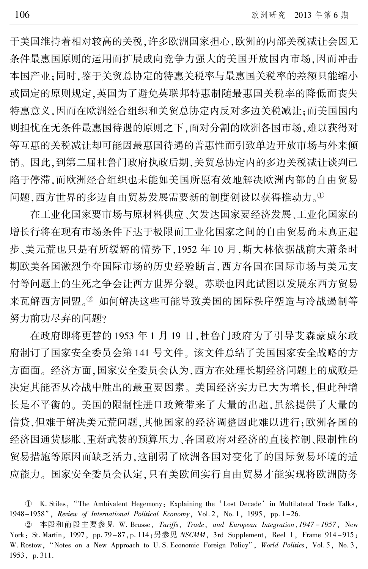于美国维持着相对较高的关税,许多欧洲国家担心,欧洲的内部关税减让会因无 条件最惠国原则的运用而扩展成向竞争力强大的美国开放国内市场,因而冲击 本国产业;同时,鉴于关贸总协定的特惠关税率与最惠国关税率的差额只能缩小 或固定的原则规定,英国为了避免英联邦特惠制随最惠国关税率的降低而丧失 特惠意义,因而在欧洲经合组织和关贸总协定内反对多边关税减让;而美国国内 则担忧在无条件最惠国待遇的原则之下,面对分割的欧洲各国市场,难以获得对 等互惠的关税减让却可能因最惠国待遇的普惠性而引致单边开放市场与外来倾 销。 因此,到第二届杜鲁门政府执政后期,关贸总协定内的多边关税减让谈判已 陷于停滞,而欧洲经合组织也未能如美国所愿有效地解决欧洲内部的自由贸易 问题,西方世界的多边自由贸易发展需要新的制度创设以获得推动力。1

在工业化国家要市场与原材料供应、欠发达国家要经济发展、工业化国家的 增长行将在现有市场条件下达于极限而工业化国家之间的自由贸易尚未真正起 步、美元荒也只是有所缓解的情势下,1952 年 10 月,斯大林依据战前大萧条时 期欧美各国激烈争夺国际市场的历史经验断言,西方各国在国际市场与美元支 付等问题上的生死之争会让西方世界分裂。 苏联也因此试图以发展东西方贸易 来瓦解西方同盟。2 如何解决这些可能导致美国的国际秩序塑造与冷战遏制等 努力前功尽弃的问题?

在政府即将更替的 1953 年 1 月 19 日,杜鲁门政府为了引导艾森豪威尔政 府制订了国家安全委员会第 141 号文件。 该文件总结了美国国家安全战略的方 方面面。 经济方面,国家安全委员会认为,西方在处理长期经济问题上的成败是 决定其能否从冷战中胜出的最重要因素。 美国经济实力已大为增长,但此种增 长是不平衡的。 美国的限制性进口政策带来了大量的出超,虽然提供了大量的 信贷,但难于解决美元荒问题,其他国家的经济调整因此难以进行;欧洲各国的 经济因通货膨胀、重新武装的预算压力、各国政府对经济的直接控制、限制性的 贸易措施等原因而缺乏活力,这削弱了欧洲各国对变化了的国际贸易环境的适 应能力。 国家安全委员会认定,只有美欧间实行自由贸易才能实现将欧洲防务

淤 K. Stiles, "The Ambivalent Hegemony: Explaining the 'Lost Decade爷 in Multilateral Trade Talks, 1948-1958", Review of International Political Economy, Vol. 2, No. 1, 1995, pp. 1-26.

② 本段和前段主要参见 W. Brusse, *Tariffs*, *Trade*, and *European Integration*,1947–1957, New York: St. Martin, 1997, pp. 79-87, p. 114; 另参见 NSCMM, 3rd Supplement, Reel 1, Frame 914-915; W. Rostow, "Notes on a New Approach to U.S. Economic Foreign Policy", World Politics, Vol. 5, No. 3, 1953, p. 311.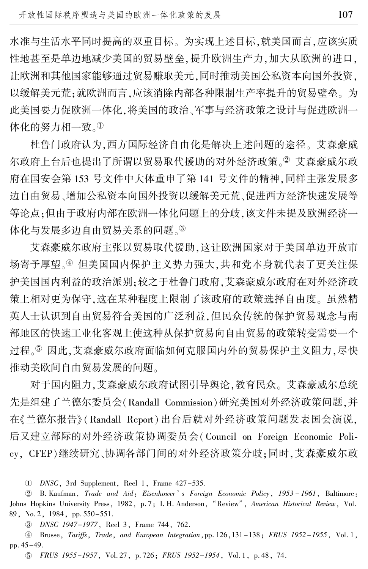水准与生活水平同时提高的双重目标。 为实现上述目标,就美国而言,应该实质 性地甚至是单边地减少美国的贸易壁垒,提升欧洲生产力,加大从欧洲的进口, 让欧洲和其他国家能够通过贸易赚取美元,同时推动美国公私资本向国外投资, 以缓解美元荒;就欧洲而言,应该消除内部各种限制生产率提升的贸易壁垒。 为 此美国要力促欧洲一体化,将美国的政治、军事与经济政策之设计与促进欧洲一 体化的努力相一致。①

杜鲁门政府认为,西方国际经济自由化是解决上述问题的途径。 艾森豪威 尔政府上台后也提出了所谓以贸易取代援助的对外经济政策。2 艾森豪威尔政 府在国安会第 153 号文件中大体重申了第 141 号文件的精神,同样主张发展多 边自由贸易、增加公私资本向国外投资以缓解美元荒、促进西方经济快速发展等 等论点;但由于政府内部在欧洲一体化问题上的分歧,该文件未提及欧洲经济一 体化与发展多边自由贸易关系的问题。③

艾森豪威尔政府主张以贸易取代援助,这让欧洲国家对于美国单边开放市 场寄予厚望。<sup>榆</sup> 但美国国内保护主义势力强大,共和党本身就代表了更关注保 护美国国内利益的政治派别;较之于杜鲁门政府,艾森豪威尔政府在对外经济政 策上相对更为保守,这在某种程度上限制了该政府的政策选择自由度。 虽然精 英人士认识到自由贸易符合美国的广泛利益,但民众传统的保护贸易观念与南 部地区的快速工业化客观上使这种从保护贸易向自由贸易的政策转变需要一个 过程。<sup>虞</sup> 因此,艾森豪威尔政府面临如何克服国内外的贸易保护主义阻力,尽快 推动美欧间自由贸易发展的问题。

对于国内阻力,艾森豪威尔政府试图引导舆论,教育民众。 艾森豪威尔总统 先是组建了兰德尔委员会(Randall Commission)研究美国对外经济政策问题,并 在《兰德尔报告》 (Randall Report)出台后就对外经济政策问题发表国会演说, 后又建立部际的对外经济政策协调委员会(Council on Foreign Economic Policy, CFEP)继续研究、协调各部门间的对外经济政策分歧;同时,艾森豪威尔政

淤 DNSC, 3rd Supplement, Reel 1, Frame 427-535.

<sup>2</sup> B. Kaufman, Trade and Aid: Eisenhower's Foreign Economic Policy, 1953 - 1961, Baltimore: Johns Hopkins University Press, 1982, p. 7; I. H. Anderson, "Review", American Historical Review, Vol. 89, No. 2, 1984, pp. 550-551.

盂 DNSC 1947-1977, Reel 3, Frame 744, 762.

榆 Brusse, Tariffs, Trade, and European Integration,pp. 126,131-138; FRUS 1952 -1955, Vol. 1, pp. 45-49.

虞 FRUS 1955-1957, Vol. 27, p. 726; FRUS 1952-1954, Vol. 1, p. 48, 74.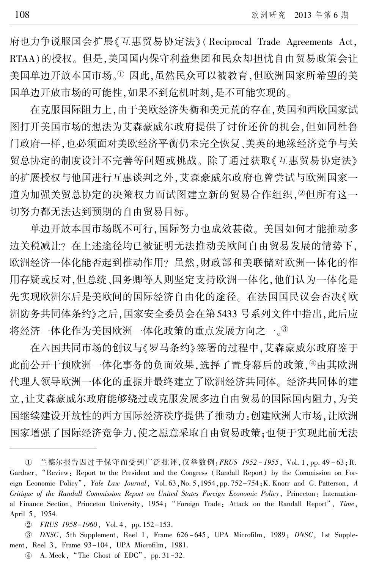府也力争说服国会扩展《互惠贸易协定法》(Reciprocal Trade Agreements Act, RTAA)的授权。 但是,美国国内保守利益集团和民众却担忧自由贸易政策会让 美国单边开放本国市场。1因此,虽然民众可以被教育,但欧洲国家所希望的美 国单边开放市场的可能性,如果不到危机时刻,是不可能实现的。

在克服国际阻力上,由于美欧经济失衡和美元荒的存在,英国和西欧国家试 图打开美国市场的想法为艾森豪威尔政府提供了讨价还价的机会,但如同杜鲁 门政府一样,也必须面对美欧经济平衡仍未完全恢复、美英的地缘经济竞争与关 贸总协定的制度设计不完善等问题或挑战。 除了通过获取《互惠贸易协定法》 的扩展授权与他国进行互惠谈判之外,艾森豪威尔政府也曾尝试与欧洲国家一 道为加强关贸总协定的决策权力而试图建立新的贸易合作组织,2但所有这一 切努力都无法达到预期的自由贸易目标。

单边开放本国市场既不可行,国际努力也成效甚微。 美国如何才能推动多 边关税减让? 在上述途径均已被证明无法推动美欧间自由贸易发展的情势下, 欧洲经济一体化能否起到推动作用? 虽然,财政部和美联储对欧洲一体化的作 用存疑或反对,但总统、国务卿等人则坚定支持欧洲一体化,他们认为一体化是 先实现欧洲尔后是美欧间的国际经济自由化的途径。 在法国国民议会否决《欧 洲防务共同体条约》之后,国家安全委员会在第5433 号系列文件中指出,此后应 将经济一体化作为美国欧洲一体化政策的重点发展方向之一。③

在六国共同市场的创议与《罗马条约》签署的过程中,艾森豪威尔政府鉴于 此前公开干预欧洲一体化事务的负面效果,选择了置身幕后的政策,4由其欧洲 代理人领导欧洲一体化的重振并最终建立了欧洲经济共同体。 经济共同体的建 立,让艾森豪威尔政府能够绕过或克服发展多边自由贸易的国际国内阻力,为美 国继续建设开放性的西方国际经济秩序提供了推动力:创建欧洲大市场,让欧洲 国家增强了国际经济竞争力,使之愿意采取自由贸易政策;也便于实现此前无法

3 DNSC, 5th Supplement, Reel 1, Frame 626-645, UPA Microfilm, 1989; DNSC, 1st Supplement, Reel 3, Frame 93-104, UPA Microfilm, 1981.

① 兰德尔报告因过于保守而受到广泛批评,仅举数例:*FRUS 1952–1955*, Vol.1,pp.49–63;R Gardner, "Review: Report to the President and the Congress (Randall Report) by the Commission on Foreign Economic Policy", Yale Law Journal, Vol. 63, No. 5, 1954, pp. 752-754; K. Knorr and G. Patterson, A Critique of the Randall Commission Report on United States Foreign Economic Policy, Princeton: International Finance Section, Princeton University, 1954; "Foreign Trade: Attack on the Randall Report", Time, April 5, 1954.

于 FRUS 1958-1960, Vol. 4, pp. 152-153.

 $\Phi$  A. Meek, "The Ghost of EDC", pp. 31–32.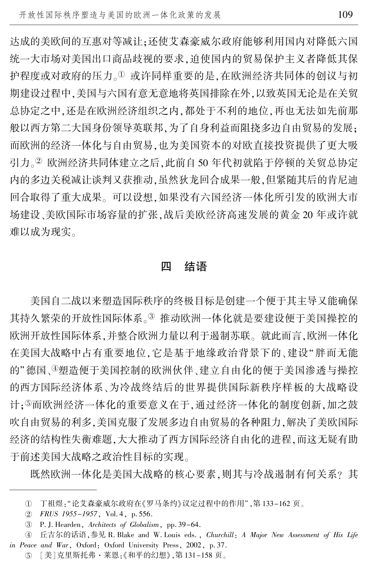达成的美欧间的互惠对等减让;还使艾森豪威尔政府能够利用国内对降低六国 统一大市场对美国出口商品歧视的要求,迫使国内的贸易保护主义者降低其保 护程度或对政府的压力。1 或许同样重要的是,在欧洲经济共同体的创议与初 期建设过程中,美国与六国有意无意地将英国排除在外,以致英国无论是在关贸 总协定之中,还是在欧洲经济组织之内,都处于不利的地位,再也无法如先前那 般以西方第二大国身份领导英联邦,为了自身利益而阻挠多边自由贸易的发展; 而欧洲的经济一体化与自由贸易,也为美国资本的对欧直接投资提供了更大吸 引力。2 欧洲经济共同体建立之后,此前自 50 年代初就陷于停顿的关贸总协定 内的多边关税减让谈判又获推动,虽然狄龙回合成果一般,但紧随其后的肯尼迪 回合取得了重大成果。 可以设想,如果没有六国经济一体化所引发的欧洲大市 场建设、美欧国际市场容量的扩张,战后美欧经济高速发展的黄金 20 年或许就 难以成为现实。

#### 四 结语

美国自二战以来塑造国际秩序的终极目标是创建一个便于其主导又能确保 其持久繁荣的开放性国际体系。③ 推动欧洲一体化就是要建设便于美国操控的 欧洲开放性国际体系,并整合欧洲力量以利于遏制苏联。 就此而言,欧洲一体化 在美国大战略中占有重要地位,它是基于地缘政治背景下的、建设"胖而无能 的"德国、御遗便于美国控制的欧洲伙伴、建立自由化的便于美国渗透与操控 的西方国际经济体系、为冷战终结后的世界提供国际新秩序样板的大战略设 计;<sup>虞</sup>而欧洲经济一体化的重要意义在于,通过经济一体化的制度创新,加之鼓 吹自由贸易的利多,美国克服了发展多边自由贸易的各种阻力,解决了美欧国际 经济的结构性失衡难题,大大推动了西方国际经济自由化的进程,而这无疑有助 于前述美国大战略之政治性目标的实现。

既然欧洲一体化是美国大战略的核心要素,则其与冷战遏制有何关系? 其

① 丁祖煜 : "论艾森豪威尔政府在《罗马条约》议定过程中的作用" ,第 133-162 页。

于 FRUS 1955-1957, Vol. 4, p. 556.

盂 P. J. Hearden, Architects of Globalism, pp. 39-64.

④ 〔丘吉尔的话语,参见 R. Blake and W. Louis eds. ,*Churchill: A Major New Assessment of His Life* in Peace and War, Oxford: Oxford University Press, 2002, p. 37.

虞 [美]克里斯托弗·莱恩:《和平的幻想》,第 131-158 页。